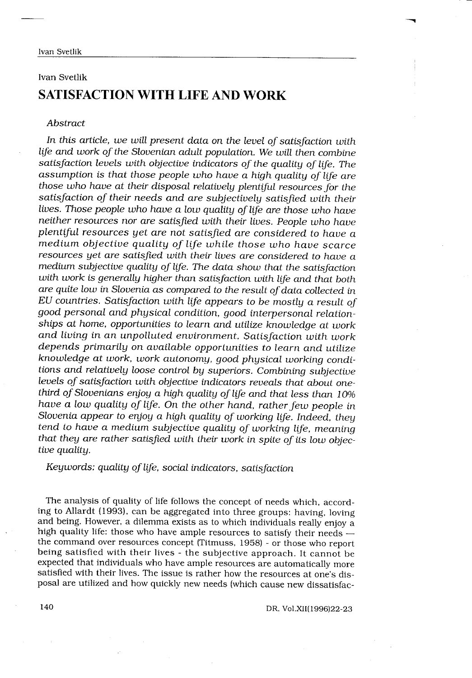# Ivan Svetlik SATISFACTION WITH LIFE AND WORK

# Abstract

In this article, we will present data on the level of satisfaction with life and work of the Slovenian adult population. We will then combine satisfaction levels with objective indicators of the quality of life. The assumption is that those people who have a high quality of life are those who have at their disposal relatively plentiful resources for the satisfaction of their needs and are subjectively satisfied with their lives. Those people who have a low quality of life are those who have neither resources nor are satisfied with their lives. People who have plentiful resources yet are not satisfied are considered to have a medium objective quality of life while those who have scarce resources yet are satisfied with their lives are considered to have a medium subjective quality of life . The data show that the satisfaction with work is generally higher than satisfaction with life and that both are quite low in Slovenia as compared to the result of data collected in EU countries. Satisfaction with life appears to be mostly a result of good personal and physical condition, good interpersonal relationships at home, opportunities to learn and utilize knowledge at work and living in an unpolluted environment. Satisfaction with work depends primarily on available opportunities to learn and utilize knowledge at work, work autonomy, good physical working conditions and relatively loose control by superiors. Combining subjective levels of satisfaction with objective indicators reveals that about onethird of Slovenians enjoy a high quality of life and that less than 10% have a low quality of life. On the other hand, rather few people in Slovenia appear to enjoy a high quality of working life. Indeed, they tend to have a medium subjective quality of working life, meaning that they are rather satisfied with their work in spite of its low objective quality.

Keywords: quality of life, social indicators, satisfaction

The analysis of quality of life follows the concept of needs which, according to Allardt (1993), can be aggregated into three groups: having, loving and being. However, a dilemma exists as to which individuals really enjoy a high quality life: those who have ample resources to satisfy their needs  $$ the command over resources concept (Titmuss, 1958) - or those who report being satisfied with their lives - the subjective approach . It cannot be expected that individuals who have ample resources are automatically more satisfied with their lives. The issue is rather how the resources at one's disposal are utilized and how quickly new needs (which cause new dissatisfac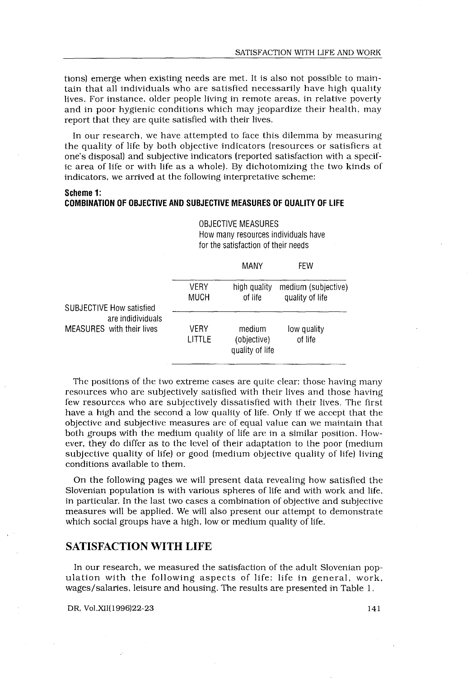tions) emerge when existing needs are met . It is also not possible to maintain that all individuals who are satisfied necessarily have high quality lives. For instance, older people living in remote areas, in relative poverty and in poor hygienic conditions which may jeopardize their health, may report that they are quite satisfied with their lives .

In our research, we have attempted to face this dilemma by measuring the quality of life by both objective indicators (resources or satisfiers at one's disposal) and subjective indicators (reported satisfaction with a specific area of life or with life as a whole) . By dichotomizing the two kinds of indicators, we arrived at the following interpretative scheme:

# Scheme 1: COMBINATION OF OBJECTIVE AND SUBJECTIVE MEASURES OF QUALITY OF LIFE

|                                                |                     | MANY                                     | <b>FEW</b>                             |
|------------------------------------------------|---------------------|------------------------------------------|----------------------------------------|
| <b>SUBJECTIVE How satisfied</b>                | <b>VERY</b><br>MUCH | high quality<br>of life                  | medium (subjective)<br>quality of life |
| are indidividuals<br>MEASURES with their lives | VERY<br>LITTLE      | medium<br>(objective)<br>quality of life | low quality<br>of life                 |

OBJECTIVE MEASURES How many resources individuals have for the satisfaction of their needs

The positions of the two extreme cases are quite clear: those having many resources who are subjectively satisfied with their lives and those having few resources who are subjectively dissatisfied with their lives . The first have a high and the second a low quality of life. Only if we accept that the objective and subjective measures are of equal value can we maintain that both groups with the medium quality of life are in a similar position. However, they do differ as to the level of their adaptation to the poor (medium subjective quality of life) or good (medium objective quality of life) living conditions available to them.

On the following pages we will present data revealing how satisfied the Slovenian population is with various spheres of life and with work and life, in particular. In the last two cases a combination of objective and subjective measures will be applied. We will also present our attempt to demonstrate which social groups have a high, low or medium quality of life.

# SATISFACTION WITH LIFE

In our research, we measured the satisfaction of the adult Slovenian population with the following aspects of life: life in general, work, wages/salaries, leisure and housing. The results are presented in Table 1.

DR, Vol.XII(1996)22-23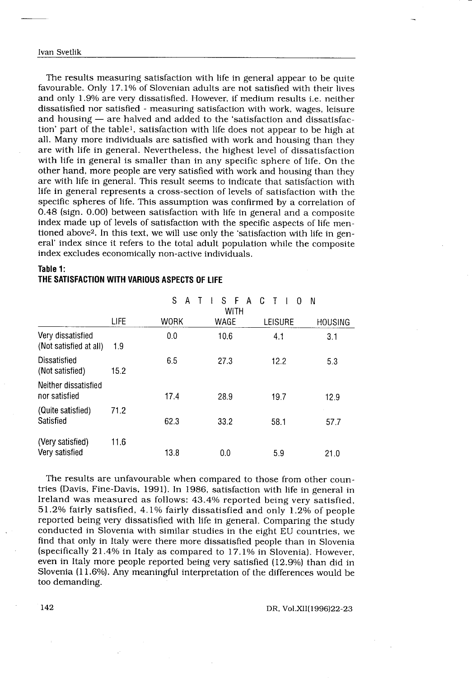### Ivan Svetlik

 $\frac{1}{\sqrt{2}}$ 

 

The results measuring satisfaction with life in general appear to be quite favourable. Only 17.1% of Slovenian adults are not satisfied with their lives and only 1.9% are very dissatisfied. However, if medium results i.e. neither dissatisfied nor satisfied - measuring satisfaction with work, wages, leisure and housing  $-$  are halved and added to the 'satisfaction and dissatisfaction' part of the table', satisfaction with life does not appear to be high at all. Many more individuals are satisfied with work and housing than they are with life in general. Nevertheless, the highest level of dissatisfaction with life in general is smaller than in any specific sphere of life. On the other hand, more people are very satisfied with work and housing than they are with life in general. This result seems to indicate that satisfaction with life in general represents a cross-section of levels of satisfaction with the specific spheres of life. This assumption was confirmed by a correlation of 0.48 (sign. 0.00) between satisfaction with life in general and a composite index made up of levels of satisfaction with the specific aspects of life mentioned above<sup>2</sup>. In this text, we will use only the 'satisfaction with life in general' index since it refers to the total adult population while the composite index excludes economically non-active individuals .

# Table 1:

# THE SATISFACTION WITH VARIOUS ASPECTS OF LIFE

| index excludes economically non-active individuals.       |      |        |                      |                    |         |
|-----------------------------------------------------------|------|--------|----------------------|--------------------|---------|
| Table 1:<br>THE SATISFACTION WITH VARIOUS ASPECTS OF LIFE |      |        |                      |                    |         |
|                                                           |      | S<br>А | S.<br>F<br>A<br>WITH | C<br>T<br>$\Omega$ | -N      |
|                                                           | LIFE | WORK   | WAGE                 | LEISURE            | HOUSING |
| Very dissatisfied<br>(Not satisfied at all)               | 1.9  | 0.0    | 10.6                 | 4.1                | 3.1     |
| Dissatisfied<br>(Not satisfied)                           | 15.2 | 6.5    | 27.3                 | 12.2               | 5.3     |
| Neither dissatisfied<br>nor satisfied                     |      | 17.4   | 28.9                 | 19.7               | 12.9    |
| (Quite satisfied)<br>Satisfied                            | 71.2 | 62.3   | 33.2                 | 58.1               | 57.7    |
| (Very satisfied)<br>Very satisfied                        | 11.6 | 13.8   | 0.0                  | 5.9                | 21.0    |

The results are unfavourable when compared to those from other countries (Davis, Fine-Davis, 1991) . In 1986, satisfaction with life in general in Ireland was measured as follows: 43.4% reported being very satisfied, 51 .2% fairly satisfied, 4 .1% fairly dissatisfied and only 1 .2% of people reported being very dissatisfied with life in general. Comparing the study conducted in Slovenia with similar studies in the eight EU countries, we find that only in Italy were there more dissatisfied people than in Slovenia (specifically 21 .4% in Italy as compared to 17 .1% in Slovenia) . However, even in Italy more people reported being very satisfied (12 .9%) than did in Slovenia (11.6%). Any meaningful interpretation of the differences would be too demanding.

DR, Vol .XII(1996)22-23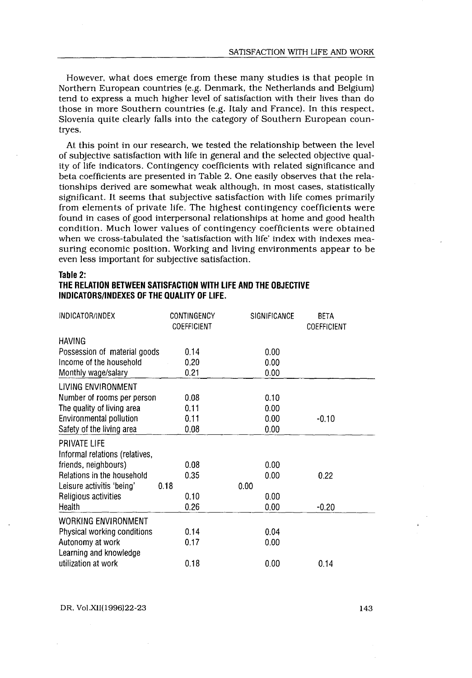However, what does emerge from these many studies is that people in Northern European countries (e .g . Denmark, the Netherlands and Belgium) tend to express a much higher level of satisfaction with their lives than do those in more Southern countries (e.g. Italy and France). In this respect, Slovenia quite clearly falls into the category of Southern European countryes.

At this point in our research, we tested the relationship between the level of subjective satisfaction with life in general and the selected objective quality of life indicators . Contingency coefficients with related significance and beta coefficients are presented in Table 2. One easily observes that the relationships derived are somewhat weak although, in most cases, statistically significant. It seems that subjective satisfaction with life comes primarily from elements of private life. The highest contingency coefficients were found in cases of good interpersonal relationships at home and good health condition. Much lower values of contingency coefficients were obtained when we cross-tabulated the 'satisfaction with life' index with indexes measuring economic position. Working and living environments appear to be even less important for subjective satisfaction.

## Table 2:

# THE RELATION BETWEEN SATISFACTION WITH LIFE AND THE OBJECTIVE INDICATORS/INDEXES OF THE QUALITY OF LIFE.

| INDICATURS/INDEXES OF THE QUALITY OF LIFE. |                            |              |                                   |  |  |  |
|--------------------------------------------|----------------------------|--------------|-----------------------------------|--|--|--|
| INDICATOR/INDEX                            | CONTINGENCY<br>COEFFICIENT | SIGNIFICANCE | <b>BETA</b><br><b>COEFFICIENT</b> |  |  |  |
| <b>HAVING</b>                              |                            |              |                                   |  |  |  |
| Possession of material goods               | 0.14                       | 0.00         |                                   |  |  |  |
| Income of the household                    | 0.20                       | 0.00         |                                   |  |  |  |
| Monthly wage/salary                        | 0.21                       | 0.00         |                                   |  |  |  |
| LIVING ENVIRONMENT                         |                            |              |                                   |  |  |  |
| Number of rooms per person                 | 0.08                       | 0.10         |                                   |  |  |  |
| The quality of living area                 | 0.11                       | 0.00         |                                   |  |  |  |
| Environmental pollution                    | 0.11                       | 0.00         | $-0.10$                           |  |  |  |
| Safety of the living area                  | 0.08                       | 0.00         |                                   |  |  |  |
| PRIVATE LIFE                               |                            |              |                                   |  |  |  |
| Informal relations (relatives,             |                            |              |                                   |  |  |  |
| friends, neighbours)                       | 0.08                       | 0.00         |                                   |  |  |  |
| Relations in the household                 | 0.35                       | 0.00         | 0.22                              |  |  |  |
| Leisure activitis 'being'                  | 0.18                       | 0.00         |                                   |  |  |  |
| Religious activities                       | 0.10                       | 0.00         |                                   |  |  |  |
| Health                                     | 0.26                       | 0.00         | $-0.20$                           |  |  |  |
| <b>WORKING ENVIRONMENT</b>                 |                            |              |                                   |  |  |  |
| Physical working conditions                | 0.14                       | 0.04         |                                   |  |  |  |
| Autonomy at work                           | 0.17                       | 0.00         |                                   |  |  |  |
| Learning and knowledge                     |                            |              |                                   |  |  |  |
| utilization at work                        | 0.18                       | 0.00         | 0.14                              |  |  |  |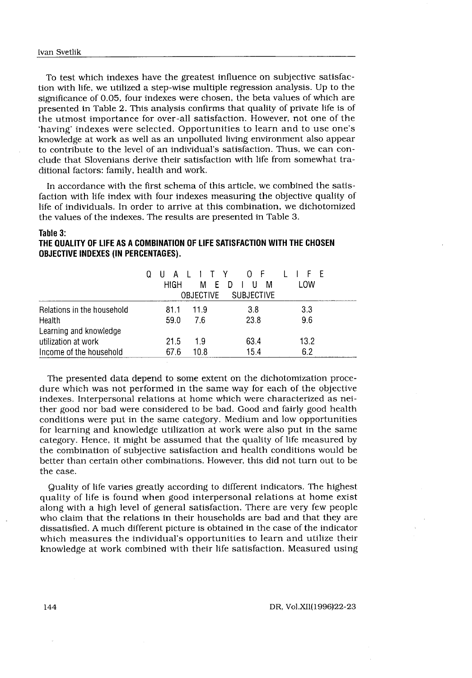To test which indexes have the greatest influence on subjective satisfaction with life, we utilized a step-wise multiple regression analysis . Up to the significance of 0.05, four indexes were chosen, the beta values of which are presented in Table 2. This analysis confirms that quality of private life is of the utmost importance for over-all satisfaction . However, not one of the `having' indexes were selected . Opportunities to learn and to use one's knowledge at work as well as an unpolluted living environment also appear to contribute to the level of an individual's satisfaction . Thus, we can conclude that Slovenians derive their satisfaction with life from somewhat traditional factors: family, health and work.

In accordance with the first schema of this article, we combined the satisfaction with life index with four indexes measuring the objective quality of life of individuals . In order to arrive at this combination, we dichotomized the values of the indexes. The results are presented in Table 3.

#### Table 3:

# THE QUALITY OF LIFE AS A COMBINATION OF LIFE SATISFACTION WITH THE CHOSEN OBJECTIVE INDEXES (IN PERCENTAGES) .

| Table 3:<br>THE QUALITY OF LIFE AS A COMBINATION OF LIFE SATISFACTION WITH THE CHOSEN<br><b>OBJECTIVE INDEXES (IN PERCENTAGES).</b> |                                           |             |                                       |              |
|-------------------------------------------------------------------------------------------------------------------------------------|-------------------------------------------|-------------|---------------------------------------|--------------|
|                                                                                                                                     | $\mathbf{II}$ A $\mathbf{I}$<br>0<br>HIGH | OBJECTIVE   | ITY OF<br>MEDIUM<br><b>SUBJECTIVE</b> | LIFE<br>LOW. |
| Relations in the household<br>Health<br>Learning and knowledge                                                                      | 81.1<br>59.0                              | 11.9<br>7.6 | 3.8<br>23.8                           | 3.3<br>9.6   |
| utilization at work<br>Income of the household                                                                                      | 21.5<br>67.6                              | 1.9<br>10.8 | 63.4<br>15.4                          | 13.2<br>6.2  |

dure which was not performed in the same way for each of the objective indexes . Interpersonal relations at home which were characterized as neither good nor bad were considered to be bad . Good and fairly good health conditions were put in the same category . Medium and low opportunities for learning and knowledge utilization at work were also put in the same category . Hence, it might be assumed that the quality of life measured by the combination of subjective satisfaction and health conditions would be better than certain other combinations . However, this did not turn out to be the case.

Quality of life varies greatly according to different indicators . The highest quality of life is found when good interpersonal relations at home exist along with a high level of general satisfaction. There are very few people who claim that the relations in their households are bad and that they are dissatisfied. A much different picture is obtained in the case of the indicator which measures the individual's opportunities to learn and utilize their knowledge at work combined with their life satisfaction. Measured using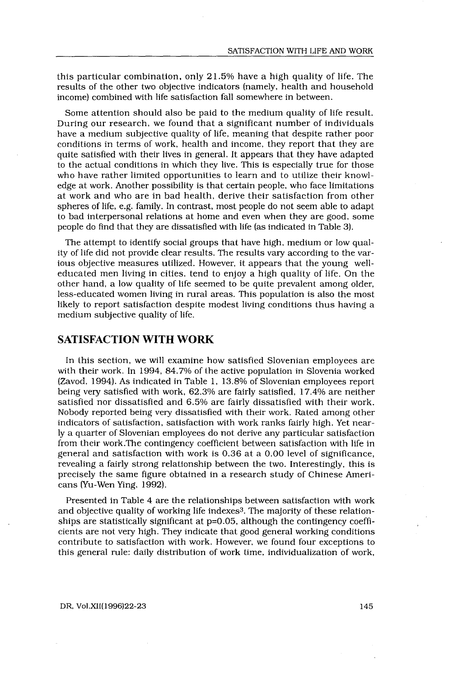this particular combination, only  $21.5%$  have a high quality of life. The results of the other two objective indicators (namely, health and household income) combined with life satisfaction fall somewhere in between .

Some attention should also be paid to the medium quality of life result. During our research, we found that a significant number of individuals have a medium subjective quality of life, meaning that despite rather poor conditions in terms of work, health and income, they report that they are quite satisfied with their lives in general. It appears that they have adapted to the actual conditions in which they live . This is especially true for those who have rather limited opportunities to learn and to utilize their knowledge at work . Another possibility is that certain people, who face limitations at work and who are in bad health, derive their satisfaction from other spheres of life, e.g. family. In contrast, most people do not seem able to adapt to bad interpersonal relations at home and even when they are good, some people do find that they are dissatisfied with life (as indicated in Table 3) .

The attempt to identify social groups that have high, medium or low quality of life did not provide clear results . The results vary according to the various objective measures utilized. However, it appears that the young welleducated men living in cities, tend to enjoy a high quality of life. On the other hand, a low quality of life seemed to be quite prevalent among older, less-educated women living in rural areas . This population is also the most likely to report satisfaction despite modest living conditions thus having a medium subjective quality of life.

# SATISFACTION WITH WORK

In this section, we will examine how satisfied Slovenian employees are with their work . In 1994, 84 .7% of the active population in Slovenia worked (Zavod, 1994) . As indicated in Table 1, 13 .8% of Slovenian employees report being very satisfied with work, 62 .3% are fairly satisfied, 17 .4% are neither satisfied nor dissatisfied and 6 .5% are fairly dissatisfied with their work. Nobody reported being very dissatisfied with their work . Rated among other indicators of satisfaction, satisfaction with work ranks fairly high. Yet nearly a quarter of Slovenian employees do not derive any particular satisfaction from their work .The contingency coefficient between satisfaction with life in general and satisfaction with work is 0.36 at a 0 .00 level of significance, revealing a fairly strong relationship between the two. Interestingly, this is precisely the same figure obtained in a research study of Chinese Americans (Yu-Wen Ying, 1992) .

Presented in Table 4 are the relationships between satisfaction with work and objective quality of working life indexes3 . The majority of these relationships are statistically significant at  $p=0.05$ , although the contingency coefficients are not very high. They indicate that good general working conditions contribute to satisfaction with work . However, we found four exceptions to this general rule: daily distribution of work time, individualization of work,

#### DR, Vol.XII(1996)22-23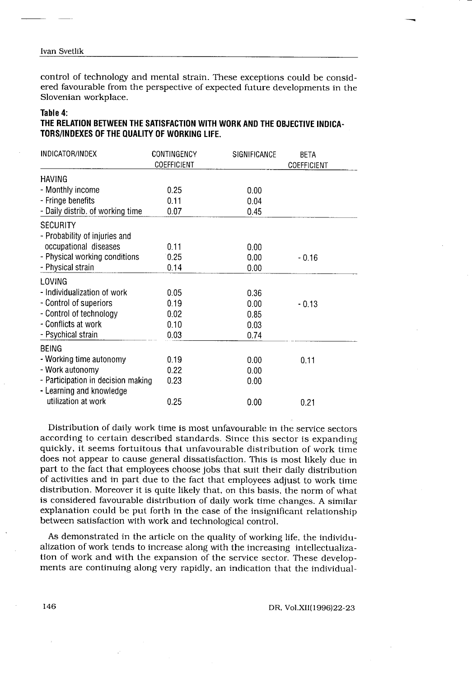#### Ivan Svetlik

 $\frac{1}{\sqrt{2}}\frac{1}{\sqrt{2}}\left( \frac{1}{2}\frac{1}{2}\frac{1}{2}\frac{1}{2}\frac{1}{2}\frac{1}{2}\frac{1}{2}\frac{1}{2}\frac{1}{2}\frac{1}{2}\frac{1}{2}\frac{1}{2}\frac{1}{2}\frac{1}{2}\frac{1}{2}\frac{1}{2}\frac{1}{2}\frac{1}{2}\frac{1}{2}\frac{1}{2}\frac{1}{2}\frac{1}{2}\frac{1}{2}\frac{1}{2}\frac{1}{2}\frac{1}{2}\frac{1}{2}\frac{1}{2}\frac{1}{2}\frac{1}{2}\frac{1}{2}\frac{1}{2}\frac{1}{$ 

 $\overline{\phantom{0}}$ 

control of technology and mental strain . These exceptions could be considered favourable from the perspective of expected future developments in the Slovenian workplace.

## Table 4:

# THE RELATION BETWEEN THE SATISFACTION WITH WORK AND THE OBJECTIVE INDICA-<br>TORS/INDEXES OF THE QUALITY OF WORKING LIFE.

| ered favourable from the perspective of expected future developments in the<br>Slovenian workplace.                                   |                            |                      |                            |  |  |
|---------------------------------------------------------------------------------------------------------------------------------------|----------------------------|----------------------|----------------------------|--|--|
| Table 4:<br>THE RELATION BETWEEN THE SATISFACTION WITH WORK AND THE OBJECTIVE INDICA-<br>TORS/INDEXES OF THE QUALITY OF WORKING LIFE. |                            |                      |                            |  |  |
| INDICATOR/INDEX                                                                                                                       | CONTINGENCY<br>COEFFICIENT | SIGNIFICANCE         | <b>BETA</b><br>COEFFICIENT |  |  |
| <b>HAVING</b>                                                                                                                         |                            |                      |                            |  |  |
| - Monthly income                                                                                                                      | 0.25                       | 0.00                 |                            |  |  |
| - Fringe benefits                                                                                                                     | 0.11                       | 0.04                 |                            |  |  |
| - Daily distrib. of working time                                                                                                      | 0.07                       | 0.45                 |                            |  |  |
| <b>SECURITY</b><br>- Probability of injuries and<br>occupational diseases<br>- Physical working conditions<br>- Physical strain       | 0.11<br>0.25<br>0.14       | 0.00<br>0.00<br>0.00 | $-0.16$                    |  |  |
| LOVING                                                                                                                                |                            |                      |                            |  |  |
| - Individualization of work                                                                                                           | 0.05                       | 0.36                 |                            |  |  |
| - Control of superiors                                                                                                                | 0.19                       | 0.00                 | $-0.13$                    |  |  |
| - Control of technology                                                                                                               | 0.02                       | 0.85                 |                            |  |  |
| - Conflicts at work                                                                                                                   | 0.10                       | 0.03                 |                            |  |  |
| - Psychical strain                                                                                                                    | 0.03                       | 0.74                 |                            |  |  |
| <b>BEING</b>                                                                                                                          |                            |                      |                            |  |  |
| - Working time autonomy                                                                                                               | 0.19                       | 0.00                 | 0.11                       |  |  |
| - Work autonomy                                                                                                                       | 0.22                       | 0.00                 |                            |  |  |
| - Participation in decision making<br>- Learning and knowledge                                                                        | 0.23                       | 0.00                 |                            |  |  |
| utilization at work                                                                                                                   | 0.25                       | 0.00                 | 0.21                       |  |  |

Distribution of daily work time is most unfavourable in the service sectors according to certain described standards. Since this sector is expanding quickly, it seems fortuitous that unfavourable distribution of work time does not appear to cause general dissatisfaction. This is most likely due in part to the fact that employees choose jobs that suit their daily distribution of activities and in part due to the fact that employees adjust to work time distribution. Moreover it is quite likely that, on this basis, the norm of what is considered favourable distribution of daily work time changes . A similar explanation could be put forth in the case of the insignificant relationship between satisfaction with work and technological control.

As demonstrated in the article on the quality of working life, the individualization of work tends to increase along with the increasing intellectualization of work and with the expansion of the service sector. These developments are continuing along very rapidly, an indication that the individual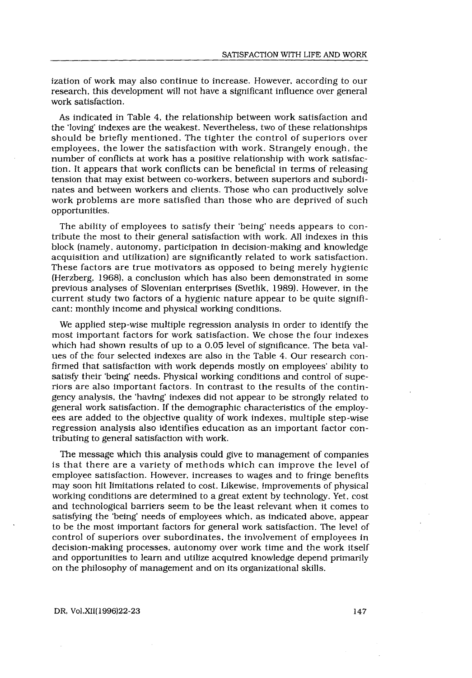ization of work may also continue to increase. However, according to our research, this development will not have a significant influence over general work satisfaction.

As indicated in Table 4, the relationship between work satisfaction and the 'loving' indexes are the weakest. Nevertheless, two of these relationships should be briefly mentioned. The tighter the control of superiors over employees, the lower the satisfaction with work . Strangely enough, the number of conflicts at work has a positive relationship with work satisfaction . It appears that work conflicts can be beneficial in terms of releasing tension that may exist between co-workers, between superiors and subordinates and between workers and clients . Those who can productively solve work problems are more satisfied than those who are deprived of such opportunities .

The ability of employees to satisfy their 'being' needs appears to contribute the most to their general satisfaction with work . All indexes in this block (namely, autonomy, participation in decision-making and knowledge acquisition and utilization) are significantly related to work satisfaction . These factors are true motivators as opposed to being merely hygienic (Herzberg, 1968), a conclusion which has also been demonstrated in some previous analyses of Slovenian enterprises (Svetlik, 1989) . However, in the current study two factors of a hygienic nature appear to be quite significant: monthly income and physical working conditions .

We applied step-wise multiple regression analysis in order to identify the most important factors for work satisfaction . We chose the four indexes which had shown results of up to a 0.05 level of significance. The beta values of the four selected indexes are also in the Table 4 . Our research confirmed that satisfaction with work depends mostly on employees' ability to satisfy their 'being' needs. Physical working conditions and control of superiors are also important factors . In contrast to the results of the contingency analysis, the 'having' indexes did not appear to be strongly related to general work satisfaction. If the demographic characteristics of the employees are added to the objective quality of work indexes, multiple step-wise regression analysis also identifies education as an important factor contributing to general satisfaction with work .

The message which this analysis could give to management of companies is that there are a variety of methods which can improve the level of employee satisfaction. However, increases to wages and to fringe benefits may soon hit limitations related to cost. Likewise, improvements of physical working conditions are determined to a great extent by technology . Yet, cost and technological barriers seem to be the least relevant when it comes to satisfying the 'being' needs of employees which, as indicated above, appear to be the most important factors for general work satisfaction . The level of control of superiors over subordinates, the involvement of employees in decision-making processes, autonomy over work time and the work itself and opportunities to learn and utilize acquired knowledge depend primarily on the philosophy of management and on its organizational skills .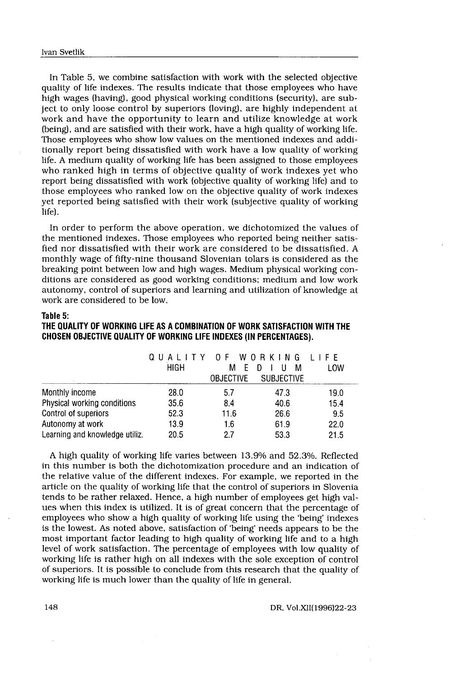In Table 5, we combine satisfaction with work with the selected objective Svetlik<br>Table 5, we combine satisfaction v<br>ity of life indexes. The results indi<br>wages (having), good physical wo<br>to only loose control by superiors<br>and have the opportunity to les quality of life indexes. The results indicate that those employees who have high wages (having), good physical working conditions (security), are subject to only loose control by superiors (loving), are highly independent at work and have the opportunity to learn and utilize knowledge at work (being), and are satisfied with their work, have a high quality of working life. Those employees who show low values on the mentioned indexes and additionally report being dissatisfied with work have a low quality of working life . A medium quality of working life has been assigned to those employees who ranked high in terms of objective quality of work indexes yet who report being dissatisfied with work (objective quality of working life) and to those employees who ranked low on the objective quality of work indexes yet reported being satisfied with their work (subjective quality of working life).

In order to perform the above operation, we dichotomized the values of the mentioned indexes . Those employees who reported being neither satisfied nor dissatisfied with their work are considered to be dissatisfied . A monthly wage of fifty-nine thousand Slovenian tolars is considered as the breaking point between low and high wages . Medium physical working conditions are considered as good working conditions; medium and low work autonomy, control of superiors and learning and utilization of knowledge at work are considered to be low.

### Table 5:

## THE QUALITY OF WORKING LIFE AS A COMBINATION OF WORK SATISFACTION WITH THE CHOSEN OBJECTIVE QUALITY OF WORKING LIFE INDEXES (IN PERCENTAGES) .

| work are considered to be low.                                                                                                                               |                 |                                           |                                           |             |
|--------------------------------------------------------------------------------------------------------------------------------------------------------------|-----------------|-------------------------------------------|-------------------------------------------|-------------|
| Table 5:<br>THE QUALITY OF WORKING LIFE AS A COMBINATION OF WORK SATISFACTION WITH THE<br>CHOSEN OBJECTIVE QUALITY OF WORKING LIFE INDEXES (IN PERCENTAGES). |                 |                                           |                                           |             |
|                                                                                                                                                              | OUALITY<br>HIGH | O F<br>WO.<br>м<br>E.<br><b>OBJECTIVE</b> | RKING<br>М<br>D<br>U<br><b>SUBJECTIVE</b> | LIFF<br>LOW |
| Monthly income                                                                                                                                               | 28.0            | 5.7                                       | 47.3                                      | 19.0        |
| Physical working conditions                                                                                                                                  | 35.6            | 8.4                                       | 40.6                                      | 15.4        |
| Control of superiors                                                                                                                                         | 52.3            | 11.6                                      | 26.6                                      | 9.5         |
| Autonomy at work                                                                                                                                             | 13.9            | 1.6                                       | 61.9                                      | 22.0        |
| Learning and knowledge utiliz.                                                                                                                               | 20.5            | 2.7                                       | 53.3                                      | 21.5        |

A high quality of working life varies between 13 .9% and 52.3%. Reflected in this number is both the dichotomization procedure and an indication of the relative value of the different indexes . For example, we reported in the article on the quality of working life that the control of superiors in Slovenia tends to be rather relaxed. Hence, a high number of employees get high values when this index is utilized . It is of great concern that the percentage of employees who show a high quality of working life using the 'being' indexes is the lowest. As noted above, satisfaction of 'being' needs appears to be the most important factor leading to high quality of working life and to a high level of work satisfaction. The percentage of employees with low quality of working life is rather high on all indexes with the sole exception of control of superiors . It is possible to conclude from this research that the quality of working life is much lower than the quality of life in general.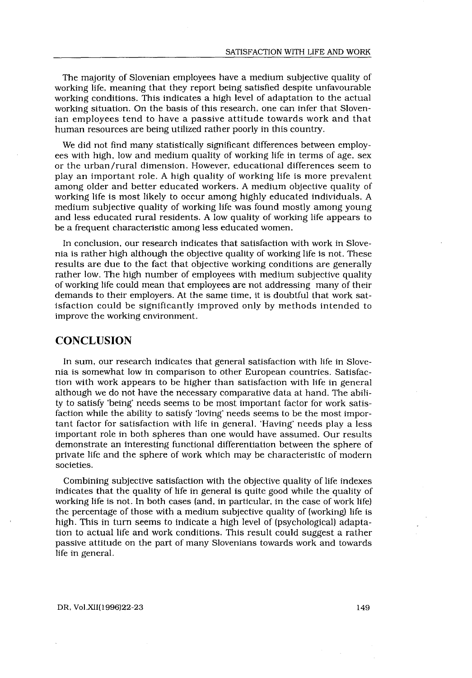The majority of Slovenian employees have a medium subjective quality of working life, meaning that they report being satisfied despite unfavourable working conditions. This indicates a high level of adaptation to the actual working situation . On the basis of this research, one can infer that Slovenian employees tend to have a passive attitude towards work and that human resources are being utilized rather poorly in this country.

We did not find many statistically significant differences between employees with high, low and medium quality of working life in terms of age, sex or the urban/rural dimension . However, educational differences seem to play an important role. A high quality of working life is more prevalent among older and better educated workers . A medium objective quality of working life is most likely to occur among highly educated individuals . A medium subjective quality of working life was found mostly among young and less educated rural residents . A low quality of working life appears to be a frequent characteristic among less educated women .

In conclusion, our research indicates that satisfaction with work in Slovenia is rather high although the objective quality of working life is not . These results are due to the fact that objective working conditions are generally rather low. The high number of employees with medium subjective quality of working life could mean that employees are not addressing many of their demands to their employers. At the same time, it is doubtful that work satisfaction could be significantly improved only by methods intended to improve the working environment.

# **CONCLUSION**

In sum, our research indicates that general satisfaction with life in Slovenia is somewhat low in comparison to other European countries. Satisfaction with work appears to be higher than satisfaction with life in general although we do not have the necessary comparative data at hand. The ability to satisfy 'being' needs seems to be most important factor for work satisfaction while the ability to satisfy 'loving' needs seems to be the most important factor for satisfaction with life in general . 'Having' needs play a less important role in both spheres than one would have assumed . Our results demonstrate an interesting functional differentiation between the sphere of private life and the sphere of work which may be characteristic of modern societies.

Combining subjective satisfaction with the objective quality of life indexes indicates that the quality of life in general is quite good while the quality of working life is not. In both cases (and, in particular, in the case of work life) the percentage of those with a medium subjective quality of (working) life is high. This in turn seems to indicate a high level of (psychological) adaptation to actual life and work conditions . This result could suggest a rather passive attitude on the part of many Slovenians towards work and towards life in general.